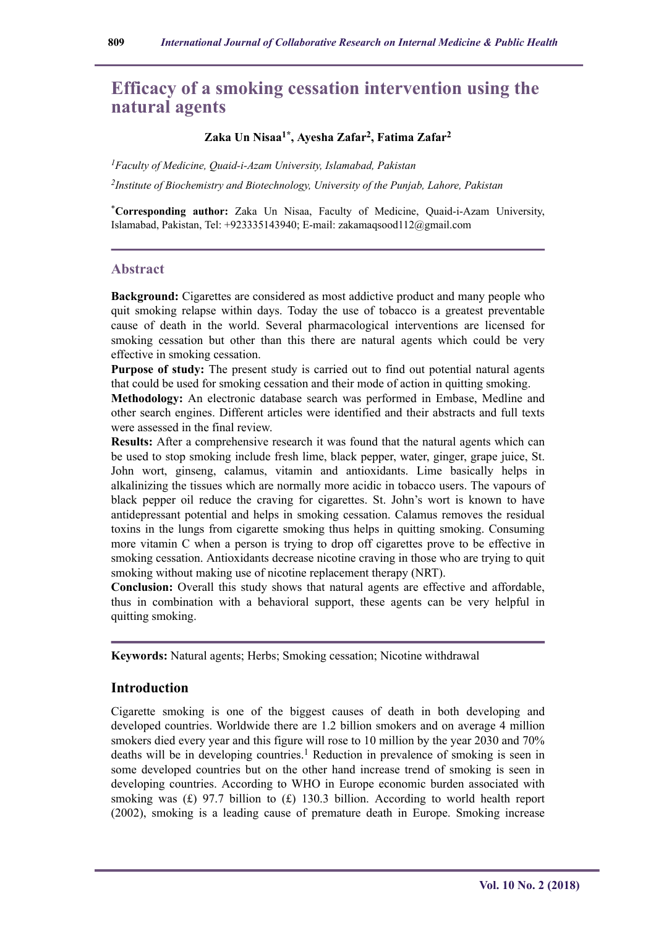# **Efficacy of a smoking cessation intervention using the natural agents**

## **Zaka Un Nisaa1\*, Ayesha Zafar<sup>2</sup> , Fatima Zafar<sup>2</sup>**

*<sup>1</sup>Faculty of Medicine, Quaid-i-Azam University, Islamabad, Pakistan*

*2 Institute of Biochemistry and Biotechnology, University of the Punjab, Lahore, Pakistan*

\***Corresponding author:** Zaka Un Nisaa, Faculty of Medicine, Quaid-i-Azam University, Islamabad, Pakistan, Tel: +923335143940; E-mail: zakamaqsood112@gmail.com

#### **Abstract**

**Background:** Cigarettes are considered as most addictive product and many people who quit smoking relapse within days. Today the use of tobacco is a greatest preventable cause of death in the world. Several pharmacological interventions are licensed for smoking cessation but other than this there are natural agents which could be very effective in smoking cessation.

**Purpose of study:** The present study is carried out to find out potential natural agents that could be used for smoking cessation and their mode of action in quitting smoking.

**Methodology:** An electronic database search was performed in Embase, Medline and other search engines. Different articles were identified and their abstracts and full texts were assessed in the final review.

**Results:** After a comprehensive research it was found that the natural agents which can be used to stop smoking include fresh lime, black pepper, water, ginger, grape juice, St. John wort, ginseng, calamus, vitamin and antioxidants. Lime basically helps in alkalinizing the tissues which are normally more acidic in tobacco users. The vapours of black pepper oil reduce the craving for cigarettes. St. John's wort is known to have antidepressant potential and helps in smoking cessation. Calamus removes the residual toxins in the lungs from cigarette smoking thus helps in quitting smoking. Consuming more vitamin C when a person is trying to drop off cigarettes prove to be effective in smoking cessation. Antioxidants decrease nicotine craving in those who are trying to quit smoking without making use of nicotine replacement therapy (NRT).

**Conclusion:** Overall this study shows that natural agents are effective and affordable, thus in combination with a behavioral support, these agents can be very helpful in quitting smoking.

**Keywords:** Natural agents; Herbs; Smoking cessation; Nicotine withdrawal

### **Introduction**

Cigarette smoking is one of the biggest causes of death in both developing and developed countries. Worldwide there are 1.2 billion smokers and on average 4 million smokers died every year and this figure will rose to 10 million by the year 2030 and 70% deaths will be in developing countries.<sup>1</sup> Reduction in prevalence of smoking is seen in some developed countries but on the other hand increase trend of smoking is seen in developing countries. According to WHO in Europe economic burden associated with smoking was  $(f)$  97.7 billion to  $(f)$  130.3 billion. According to world health report (2002), smoking is a leading cause of premature death in Europe. Smoking increase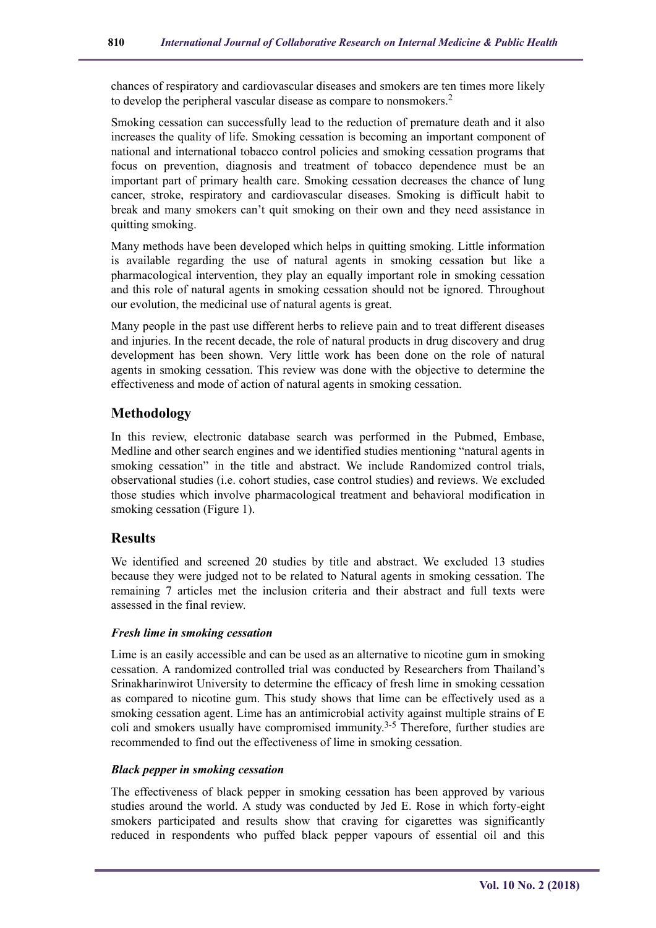chances of respiratory and cardiovascular diseases and smokers are ten times more likely to develop the peripheral vascular disease as compare to nonsmokers.<sup>2</sup>

Smoking cessation can successfully lead to the reduction of premature death and it also increases the quality of life. Smoking cessation is becoming an important component of national and international tobacco control policies and smoking cessation programs that focus on prevention, diagnosis and treatment of tobacco dependence must be an important part of primary health care. Smoking cessation decreases the chance of lung cancer, stroke, respiratory and cardiovascular diseases. Smoking is difficult habit to break and many smokers can't quit smoking on their own and they need assistance in quitting smoking.

Many methods have been developed which helps in quitting smoking. Little information is available regarding the use of natural agents in smoking cessation but like a pharmacological intervention, they play an equally important role in smoking cessation and this role of natural agents in smoking cessation should not be ignored. Throughout our evolution, the medicinal use of natural agents is great.

Many people in the past use different herbs to relieve pain and to treat different diseases and injuries. In the recent decade, the role of natural products in drug discovery and drug development has been shown. Very little work has been done on the role of natural agents in smoking cessation. This review was done with the objective to determine the effectiveness and mode of action of natural agents in smoking cessation.

# **Methodology**

In this review, electronic database search was performed in the Pubmed, Embase, Medline and other search engines and we identified studies mentioning "natural agents in smoking cessation" in the title and abstract. We include Randomized control trials, observational studies (i.e. cohort studies, case control studies) and reviews. We excluded those studies which involve pharmacological treatment and behavioral modification in smoking cessation (Figure 1).

## **Results**

We identified and screened 20 studies by title and abstract. We excluded 13 studies because they were judged not to be related to Natural agents in smoking cessation. The remaining 7 articles met the inclusion criteria and their abstract and full texts were assessed in the final review.

#### *Fresh lime in smoking cessation*

Lime is an easily accessible and can be used as an alternative to nicotine gum in smoking cessation. A randomized controlled trial was conducted by Researchers from Thailand's Srinakharinwirot University to determine the efficacy of fresh lime in smoking cessation as compared to nicotine gum. This study shows that lime can be effectively used as a smoking cessation agent. Lime has an antimicrobial activity against multiple strains of E coli and smokers usually have compromised immunity.<sup>3-5</sup> Therefore, further studies are recommended to find out the effectiveness of lime in smoking cessation.

#### *Black pepper in smoking cessation*

The effectiveness of black pepper in smoking cessation has been approved by various studies around the world. A study was conducted by Jed E. Rose in which forty-eight smokers participated and results show that craving for cigarettes was significantly reduced in respondents who puffed black pepper vapours of essential oil and this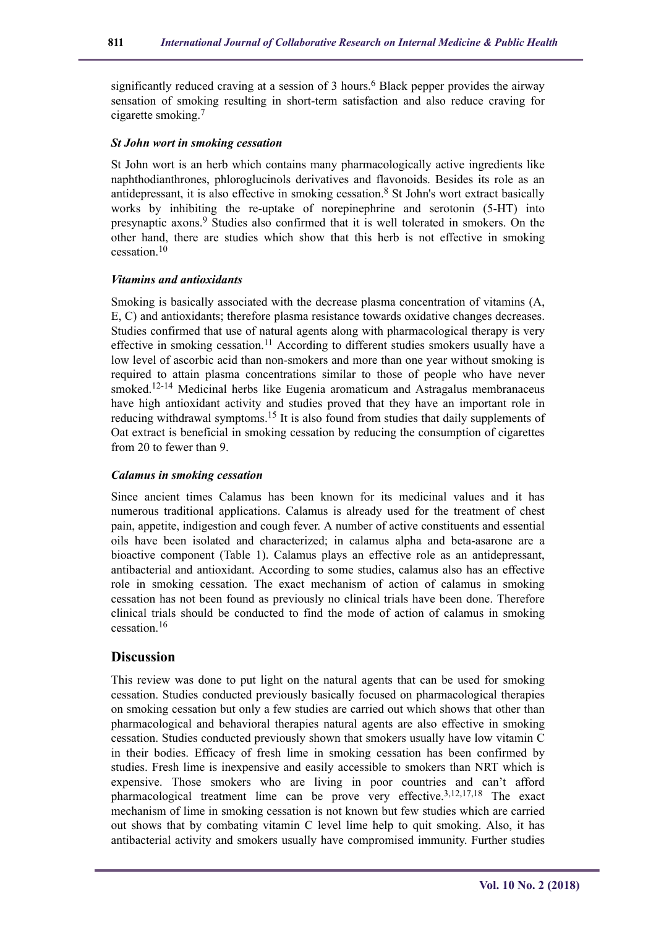significantly reduced craving at a session of 3 hours.<sup>6</sup> Black pepper provides the airway sensation of smoking resulting in short-term satisfaction and also reduce craving for cigarette smoking.<sup>7</sup>

#### *St John wort in smoking cessation*

St John wort is an herb which contains many pharmacologically active ingredients like naphthodianthrones, phloroglucinols derivatives and flavonoids. Besides its role as an antidepressant, it is also effective in smoking cessation.<sup>8</sup> St John's wort extract basically works by inhibiting the re-uptake of norepinephrine and serotonin (5-HT) into presynaptic axons.<sup>9</sup> Studies also confirmed that it is well tolerated in smokers. On the other hand, there are studies which show that this herb is not effective in smoking  $c$ essation<sup>10</sup>

#### *Vitamins and antioxidants*

Smoking is basically associated with the decrease plasma concentration of vitamins (A, E, C) and antioxidants; therefore plasma resistance towards oxidative changes decreases. Studies confirmed that use of natural agents along with pharmacological therapy is very effective in smoking cessation.<sup>11</sup> According to different studies smokers usually have a low level of ascorbic acid than non-smokers and more than one year without smoking is required to attain plasma concentrations similar to those of people who have never smoked.<sup>12-14</sup> Medicinal herbs like Eugenia aromaticum and Astragalus membranaceus have high antioxidant activity and studies proved that they have an important role in reducing withdrawal symptoms.<sup>15</sup> It is also found from studies that daily supplements of Oat extract is beneficial in smoking cessation by reducing the consumption of cigarettes from 20 to fewer than 9.

#### *Calamus in smoking cessation*

Since ancient times Calamus has been known for its medicinal values and it has numerous traditional applications. Calamus is already used for the treatment of chest pain, appetite, indigestion and cough fever. A number of active constituents and essential oils have been isolated and characterized; in calamus alpha and beta-asarone are a bioactive component (Table 1). Calamus plays an effective role as an antidepressant, antibacterial and antioxidant. According to some studies, calamus also has an effective role in smoking cessation. The exact mechanism of action of calamus in smoking cessation has not been found as previously no clinical trials have been done. Therefore clinical trials should be conducted to find the mode of action of calamus in smoking cessation.<sup>16</sup>

#### **Discussion**

This review was done to put light on the natural agents that can be used for smoking cessation. Studies conducted previously basically focused on pharmacological therapies on smoking cessation but only a few studies are carried out which shows that other than pharmacological and behavioral therapies natural agents are also effective in smoking cessation. Studies conducted previously shown that smokers usually have low vitamin C in their bodies. Efficacy of fresh lime in smoking cessation has been confirmed by studies. Fresh lime is inexpensive and easily accessible to smokers than NRT which is expensive. Those smokers who are living in poor countries and can't afford pharmacological treatment lime can be prove very effective.<sup>3,12,17,18</sup> The exact mechanism of lime in smoking cessation is not known but few studies which are carried out shows that by combating vitamin C level lime help to quit smoking. Also, it has antibacterial activity and smokers usually have compromised immunity. Further studies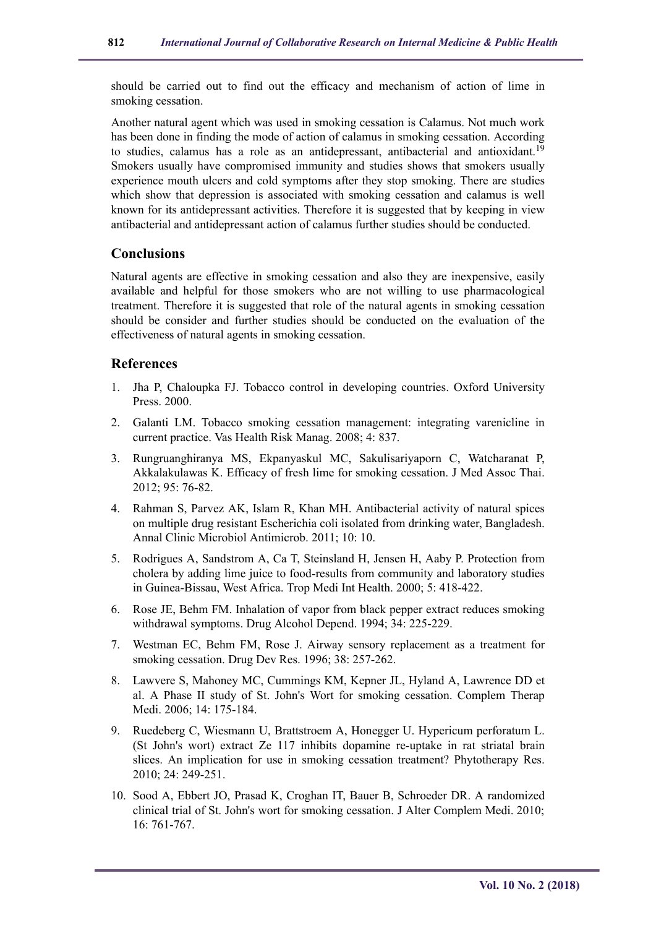should be carried out to find out the efficacy and mechanism of action of lime in smoking cessation.

Another natural agent which was used in smoking cessation is Calamus. Not much work has been done in finding the mode of action of calamus in smoking cessation. According to studies, calamus has a role as an antidepressant, antibacterial and antioxidant.<sup>19</sup> Smokers usually have compromised immunity and studies shows that smokers usually experience mouth ulcers and cold symptoms after they stop smoking. There are studies which show that depression is associated with smoking cessation and calamus is well known for its antidepressant activities. Therefore it is suggested that by keeping in view antibacterial and antidepressant action of calamus further studies should be conducted.

## **Conclusions**

Natural agents are effective in smoking cessation and also they are inexpensive, easily available and helpful for those smokers who are not willing to use pharmacological treatment. Therefore it is suggested that role of the natural agents in smoking cessation should be consider and further studies should be conducted on the evaluation of the effectiveness of natural agents in smoking cessation.

## **References**

- 1. Jha P, Chaloupka FJ. Tobacco control in developing countries. Oxford University Press. 2000.
- 2. Galanti LM. Tobacco smoking cessation management: integrating varenicline in current practice. Vas Health Risk Manag. 2008; 4: 837.
- 3. Rungruanghiranya MS, Ekpanyaskul MC, Sakulisariyaporn C, Watcharanat P, Akkalakulawas K. Efficacy of fresh lime for smoking cessation. J Med Assoc Thai. 2012; 95: 76-82.
- 4. Rahman S, Parvez AK, Islam R, Khan MH. Antibacterial activity of natural spices on multiple drug resistant Escherichia coli isolated from drinking water, Bangladesh. Annal Clinic Microbiol Antimicrob. 2011; 10: 10.
- 5. Rodrigues A, Sandstrom A, Ca T, Steinsland H, Jensen H, Aaby P. Protection from cholera by adding lime juice to food-results from community and laboratory studies in Guinea-Bissau, West Africa. Trop Medi Int Health. 2000; 5: 418-422.
- 6. Rose JE, Behm FM. Inhalation of vapor from black pepper extract reduces smoking withdrawal symptoms. Drug Alcohol Depend. 1994; 34: 225-229.
- 7. Westman EC, Behm FM, Rose J. Airway sensory replacement as a treatment for smoking cessation. Drug Dev Res. 1996; 38: 257-262.
- 8. Lawvere S, Mahoney MC, Cummings KM, Kepner JL, Hyland A, Lawrence DD et al. A Phase II study of St. John's Wort for smoking cessation. Complem Therap Medi. 2006; 14: 175-184.
- 9. Ruedeberg C, Wiesmann U, Brattstroem A, Honegger U. Hypericum perforatum L. (St John's wort) extract Ze 117 inhibits dopamine re-uptake in rat striatal brain slices. An implication for use in smoking cessation treatment? Phytotherapy Res. 2010; 24: 249-251.
- 10. Sood A, Ebbert JO, Prasad K, Croghan IT, Bauer B, Schroeder DR. A randomized clinical trial of St. John's wort for smoking cessation. J Alter Complem Medi. 2010; 16: 761-767.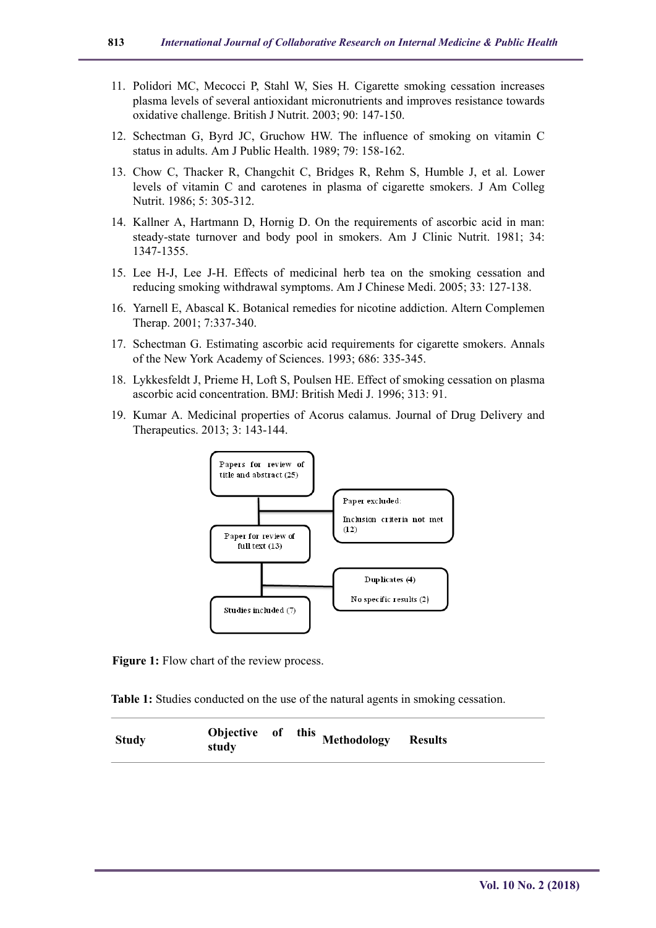- 11. Polidori MC, Mecocci P, Stahl W, Sies H. Cigarette smoking cessation increases plasma levels of several antioxidant micronutrients and improves resistance towards oxidative challenge. British J Nutrit. 2003; 90: 147-150.
- 12. Schectman G, Byrd JC, Gruchow HW. The influence of smoking on vitamin C status in adults. Am J Public Health. 1989; 79: 158-162.
- 13. Chow C, Thacker R, Changchit C, Bridges R, Rehm S, Humble J, et al. Lower levels of vitamin C and carotenes in plasma of cigarette smokers. J Am Colleg Nutrit. 1986; 5: 305-312.
- 14. Kallner A, Hartmann D, Hornig D. On the requirements of ascorbic acid in man: steady-state turnover and body pool in smokers. Am J Clinic Nutrit. 1981; 34: 1347-1355.
- 15. Lee H-J, Lee J-H. Effects of medicinal herb tea on the smoking cessation and reducing smoking withdrawal symptoms. Am J Chinese Medi. 2005; 33: 127-138.
- 16. Yarnell E, Abascal K. Botanical remedies for nicotine addiction. Altern Complemen Therap. 2001; 7:337-340.
- 17. Schectman G. Estimating ascorbic acid requirements for cigarette smokers. Annals of the New York Academy of Sciences. 1993; 686: 335-345.
- 18. Lykkesfeldt J, Prieme H, Loft S, Poulsen HE. Effect of smoking cessation on plasma ascorbic acid concentration. BMJ: British Medi J. 1996; 313: 91.
- 19. Kumar A. Medicinal properties of Acorus calamus. Journal of Drug Delivery and Therapeutics. 2013; 3: 143-144.



**Figure 1:** Flow chart of the review process.

**Table 1:** Studies conducted on the use of the natural agents in smoking cessation.

| <b>Study</b> | study |  | Objective of this Methodology Results |  |  |
|--------------|-------|--|---------------------------------------|--|--|
|--------------|-------|--|---------------------------------------|--|--|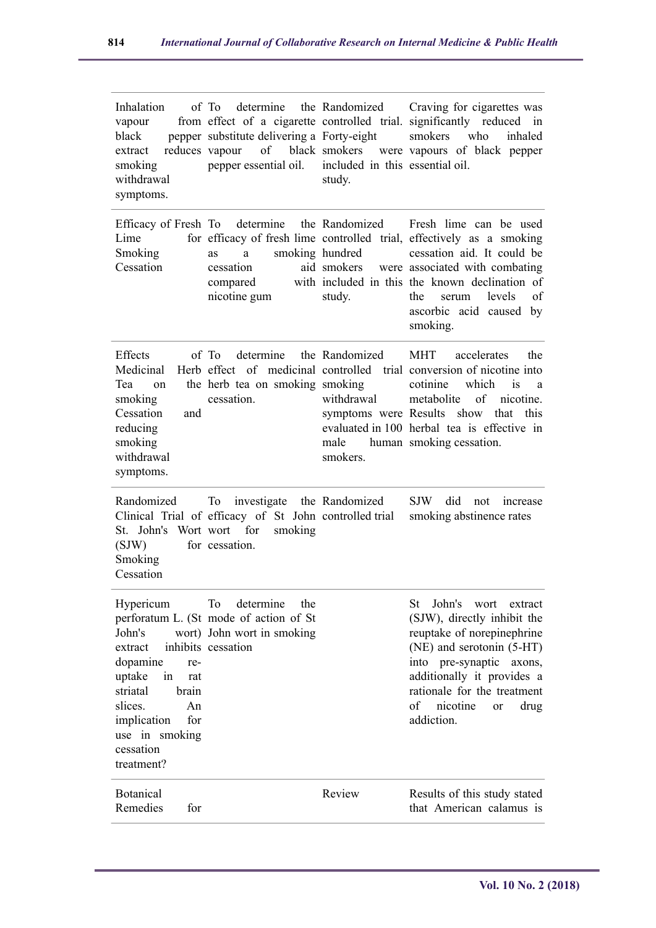| Inhalation<br>vapour<br>black<br>reduces vapour<br>extract<br>smoking<br>withdrawal<br>symptoms.                                                                                  | of To<br>pepper substitute delivering a Forty-eight<br>of<br>pepper essential oil.                                      | included in this essential oil.<br>study.                                 | determine the Randomized Craving for cigarettes was<br>from effect of a cigarette controlled trial. significantly reduced in<br>smokers<br>who<br>inhaled<br>black smokers were vapours of black pepper                                                                                  |
|-----------------------------------------------------------------------------------------------------------------------------------------------------------------------------------|-------------------------------------------------------------------------------------------------------------------------|---------------------------------------------------------------------------|------------------------------------------------------------------------------------------------------------------------------------------------------------------------------------------------------------------------------------------------------------------------------------------|
| Lime<br>Smoking<br>Cessation                                                                                                                                                      | Efficacy of Fresh To determine the Randomized<br>smoking hundred<br>a<br>as<br>cessation<br>compared<br>nicotine gum    | aid smokers<br>study.                                                     | Fresh lime can be used<br>for efficacy of fresh lime controlled trial, effectively as a smoking<br>cessation aid. It could be<br>were associated with combating<br>with included in this the known declination of<br>levels<br>the<br>of<br>serum<br>ascorbic acid caused by<br>smoking. |
| Effects<br>Medicinal<br>Tea<br>on<br>smoking<br>Cessation<br>and<br>reducing<br>smoking<br>withdrawal<br>symptoms.                                                                | of To<br>determine<br>the herb tea on smoking smoking<br>cessation.                                                     | the Randomized<br>withdrawal<br>symptoms were Results<br>male<br>smokers. | accelerates<br>the<br><b>MHT</b><br>Herb effect of medicinal controlled trial conversion of nicotine into<br>which<br>cotinine<br>is<br>a<br>of nicotine.<br>metabolite<br>show<br>that<br>this<br>evaluated in 100 herbal tea is effective in<br>human smoking cessation.               |
| Randomized<br>St. John's Wort wort for<br>(SJW)<br>Smoking<br>Cessation                                                                                                           | To<br>investigate the Randomized<br>Clinical Trial of efficacy of St John controlled trial<br>smoking<br>for cessation. |                                                                           | <b>SJW</b><br>did<br>not<br><i>ncrease</i><br>smoking abstinence rates                                                                                                                                                                                                                   |
| Hypericum<br>John's<br>extract<br>dopamine<br>re-<br>uptake<br>in<br>rat<br>striatal<br>brain<br>slices.<br>An<br>implication<br>for<br>use in smoking<br>cessation<br>treatment? | To<br>determine<br>the<br>perforatum L. (St mode of action of St<br>wort) John wort in smoking<br>inhibits cessation    |                                                                           | John's<br>St<br>wort<br>extract<br>(SJW), directly inhibit the<br>reuptake of norepinephrine<br>(NE) and serotonin (5-HT)<br>into pre-synaptic axons,<br>additionally it provides a<br>rationale for the treatment<br>of<br>nicotine<br>drug<br>or<br>addiction.                         |
| <b>Botanical</b><br>Remedies<br>for                                                                                                                                               |                                                                                                                         | Review                                                                    | Results of this study stated<br>that American calamus is                                                                                                                                                                                                                                 |